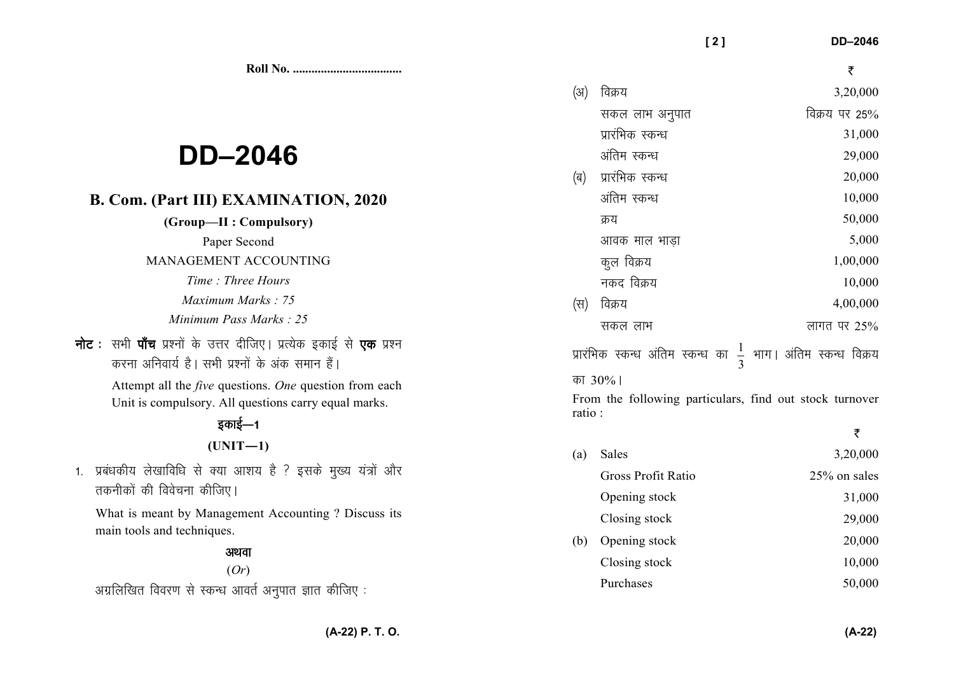**Roll No. ...................................** 

# **DD–2046**

### **B. Com. (Part III) EXAMINATION, 2020**

**(Group—II : Compulsory)** 

Paper Second

### MANAGEMENT ACCOUNTING

- *Time : Three Hours Maximum Marks : 75 Minimum Pass Marks : 25*
- **नोट** : सभी **पाँच** प्रश्नों के उत्तर दीजिए। प्रत्येक इकाई से **एक** प्रश्न करना अनिवार्य है। सभी प्रश्नों के अंक समान हैं।

 Attempt all the *five* questions. *One* question from each Unit is compulsory. All questions carry equal marks.

## डकाई—1 **(UNIT—1)**

1. प्रबंधकीय लेखाविधि से क्या आशय है ? इसके मुख्य यंत्रों और तकनीकों की विवेचना कीजिए

What is meant by Management Accounting ? Discuss its main tools and techniques.

### अथवा (*Or*)

अग्रलिखित विवरण से स्कन्ध आवर्त अनुपात ज्ञात कीजिए:

 $(3)$  विक्रय 3,20,000 सकल लाभ अनपात विक्रय पर 25% 31,000 प्रारंभिक स्कन्ध  $\frac{1}{29,000}$  अंतिम स्कन्ध  $\vert$ ब) प्रारंभिक स्कन्ध  $\vert$ अंतिम स्कन्ध $10.000$ क्रय  $50,000$ आवक माल भाडा $5,000$ कल विक्रय  $1,00,000$ नकद विक्रय  $10,000$  $(\nabla)$  विक्रय 4,00,000 सकल लाभ  $\overline{a}$  and  $\overline{b}$  if  $\overline{a}$  and  $\overline{a}$  and  $\overline{a}$  and  $\overline{a}$  and  $\overline{a}$  and  $\overline{a}$  and  $\overline{a}$  and  $\overline{a}$  and  $\overline{a}$  and  $\overline{a}$  and  $\overline{a}$  and  $\overline{a}$  and  $\overline{a}$  and  $\overline{a}$  and  $\overline{$ प्रारंभिक स्कन्ध अंतिम स्कन्ध का  $\frac{1}{3}$ भाग। अंतिम स्कन्ध विक्रय का 30%।

 **[ 2 ] DD–2046** 

₹

From the following particulars, find out stock turnover ratio :

(a) Sales  $3,20,000$  Gross Profit Ratio 25% on salesOpening stock 31,000 Closing stock 29,000 (b) Opening stock  $20,000$  Closing stock 10,000Purchases 50,000

₹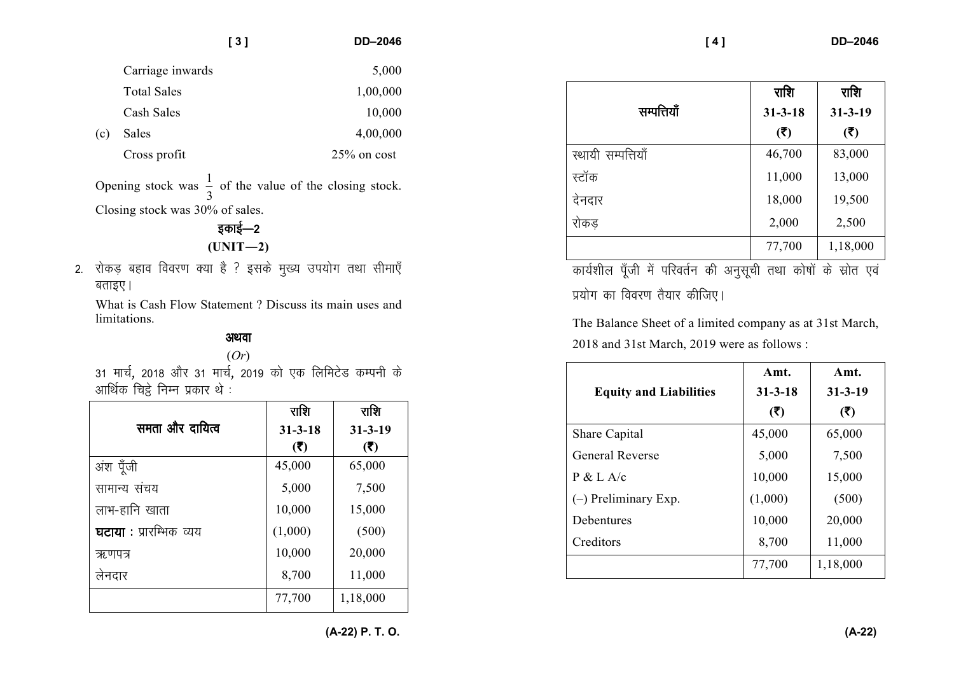|     |                    | [3] | <b>DD-2046</b> |
|-----|--------------------|-----|----------------|
|     | Carriage inwards   |     | 5,000          |
|     | <b>Total Sales</b> |     | 1,00,000       |
|     | Cash Sales         |     | 10,000         |
| (c) | Sales              |     | 4,00,000       |
|     | Cross profit       |     | $25\%$ on cost |

Opening stock was  $\frac{1}{3}$  of the value of the closing stock. Closing stock was 30% of sales.

bdkbZ&<sup>2</sup>**(UNIT—2)** 

2. रोकड़ बहाव विवरण क्या है ? इसके मुख्य उपयोग तथा सीमाएँ बताइए।

What is Cash Flow Statement ? Discuss its main uses and limitations.

### अथवा

(*Or*) 31 मार्च, 2018 और 31 मार्च, 2019 को एक लिमिटेड कम्पनी के आर्थिक चिट्ठे निम्न प्रकार थे $\,$ :

|                         | राशि          | राशि          |
|-------------------------|---------------|---------------|
| समता और दायित्व         | $31 - 3 - 18$ | $31 - 3 - 19$ |
|                         | (5)           | (5)           |
| अंश पूँजी               | 45,000        | 65,000        |
| सामान्य संचय            | 5,000         | 7,500         |
| लाभ-हानि खाता           | 10,000        | 15,000        |
| घटाया : प्रारम्भिक व्यय | (1,000)       | (500)         |
| ऋणपत्र                  | 10,000        | 20,000        |
| लेनदार                  | 8,700         | 11,000        |
|                         | 77,700        | 1,18,000      |

|                    | राशि          | राशि          |
|--------------------|---------------|---------------|
| सम्पत्तियाँ        | $31 - 3 - 18$ | $31 - 3 - 19$ |
|                    | (5)           | (5)           |
| स्थायी सम्पत्तियाँ | 46,700        | 83,000        |
| स्टॉक              | 11,000        | 13,000        |
| देनदार             | 18,000        | 19,500        |
| रोकड़              | 2,000         | 2,500         |
|                    | 77,700        | 1,18,000      |

कार्यशील पूँजी में परिवर्तन की अनुसूची तथा कोषों के स्रोत एवं प्रयोग का विवरण तैयार कीजिए।

The Balance Sheet of a limited company as at 31st March, 2018 and 31st March, 2019 were as follows :

|                               | Amt.          | Amt.          |
|-------------------------------|---------------|---------------|
| <b>Equity and Liabilities</b> | $31 - 3 - 18$ | $31 - 3 - 19$ |
|                               | (5)           | (5)           |
| <b>Share Capital</b>          | 45,000        | 65,000        |
| <b>General Reverse</b>        | 5,000         | 7,500         |
| P & L A/c                     | 10,000        | 15,000        |
| $(-)$ Preliminary Exp.        | (1,000)       | (500)         |
| <b>Debentures</b>             | 10,000        | 20,000        |
| Creditors                     | 8,700         | 11,000        |
|                               | 77,700        | 1,18,000      |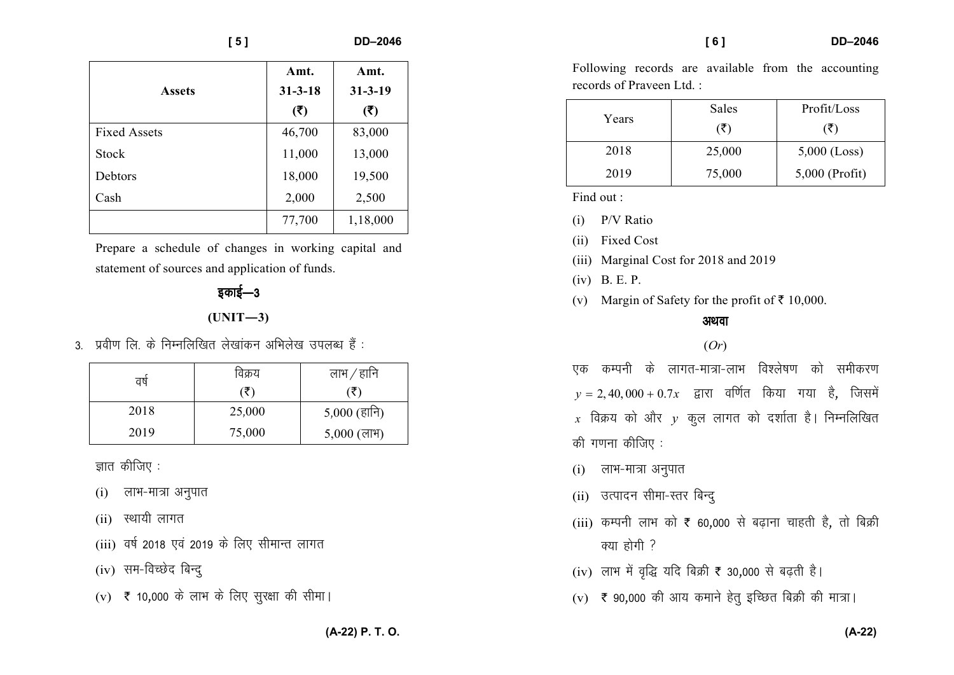| [5]                 |               | <b>DD-2046</b> |
|---------------------|---------------|----------------|
|                     | Amt.          | Amt.           |
| <b>Assets</b>       | $31 - 3 - 18$ | $31 - 3 - 19$  |
|                     | (5)           | (5)            |
| <b>Fixed Assets</b> | 46,700        | 83,000         |
| <b>Stock</b>        | 11,000        | 13,000         |
| Debtors             | 18,000        | 19,500         |
| Cash                | 2,000         | 2,500          |
|                     | 77,700        | 1,18,000       |

Prepare a schedule of changes in working capital and statement of sources and application of funds.

# डकाई—3 **(UNIT—3)**

 $3.$  प्रवीण लि. के निम्नलिखित लेखांकन अभिलेख उपलब्ध हैं :

| वर्ष | विक्रय | लाभ ⁄ हानि    |
|------|--------|---------------|
|      | (₹)    | (₹)           |
| 2018 | 25,000 | 5,000 (हानि)  |
| 2019 | 75,000 | $5,000$ (लाभ) |

ज्ञात कीजिए $:$ 

- (i) लाभ-मात्रा अनुपात
- $(ii)$  स्थायी लागत
- (iii) वर्ष 2018 एवं 2019 के लिए सीमान्त लागत
- $(iv)$  सम-विच्छेद बिन्द्
- (v) ₹ 10,000 के लाभ के लिए सुरक्षा की सीमा।

| [6] | DD-2046 |
|-----|---------|
|     |         |

Following records are available from the accountingrecords of Praveen Ltd. :

| Years | Sales  | Profit/Loss      |
|-------|--------|------------------|
|       | (₹)    | (₹)              |
| 2018  | 25,000 | $5,000$ (Loss)   |
| 2019  | 75,000 | $5,000$ (Profit) |

Find out :

(i) P/V Ratio

(ii) Fixed Cost

- (iii) Marginal Cost for 2018 and 2019
- (iv) B. E. P.
- (v) Margin of Safety for the profit of  $\bar{\tau}$  10,000.

#### अथवा

### (*Or*)

एक कम्पनी के लागत-मात्रा-लाभ विश्लेषण को समीकरण  $y = 2,40,000 + 0.7x$  द्वारा वर्णित किया गया है, जिसमें  $x$  विक्रय को और  $y$  कुल लागत को दर्शाता है। निम्नलिखित की गणना $\phi$ कीजिए:

- $(i)$  लाभ-मात्रा अनुपात
- (ii) उत्पादन सीमा-स्तर बिन्द्
- (iii) कम्पनी लाभ को ₹ 60,000 से बढ़ाना चाहती है, तो बिक्री  $\frac{1}{2}$ क्या होगी  $\frac{2}{3}$
- (iv) लाभ में वृद्धि यदि बिक्री है 30,000 से बढ़ती है।
- (v) ₹ 90,000 की आय कमाने हेतु इच्छित बिक्री की मात्रा।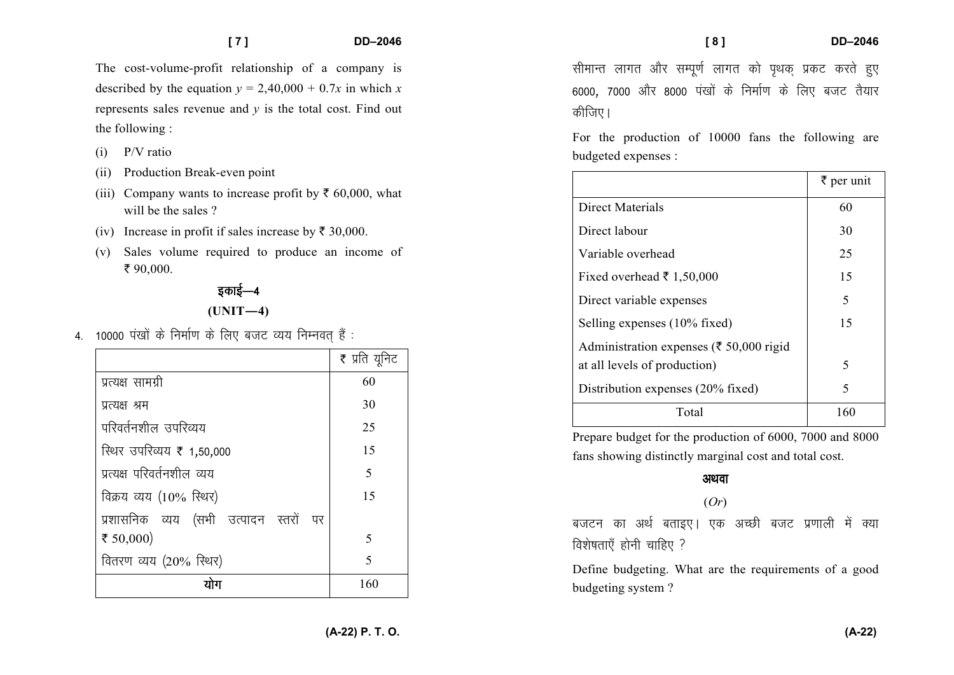The cost-volume-profit relationship of a company isdescribed by the equation  $y = 2,40,000 + 0.7x$  in which x represents sales revenue and *y* is the total cost. Find out the following :

- (i) P/V ratio
- (ii) Production Break-even point
- (iii) Company wants to increase profit by  $\bar{\tau}$  60,000, what will be the sales ?
- (iv) Increase in profit if sales increase by  $\bar{\tau}$  30,000.
- (v) Sales volume required to produce an income of  $\bar{5}$  90,000.

# इकाई—4 **(UNIT—4)**

 $4.$  10000 पंखों के निर्माण के लिए बजट व्यय निम्नवत हैं :

|                                       | ₹ प्रति यूनिट |
|---------------------------------------|---------------|
| प्रत्यक्ष सामग्री                     | 60            |
| प्रत्यक्ष श्रम                        | 30            |
| परिवर्तनशील उपरिव्यय                  | 25            |
| रिथर उपरिव्यय ₹ 1,50,000              | 15            |
| प्रत्यक्ष परिवर्तनशील व्यय            | 5             |
| विक्रय व्यय (10% स्थिर)               | 15            |
| प्रशासनिक व्यय (सभी उत्पादन स्तरों पर |               |
| ₹ 50,000)                             | 5             |
| वितरण व्यय (20% स्थिर)                | 5             |
|                                       | 160           |

सीमान्त लागत और सम्पूर्ण लागत को पृथक प्रकट करते हुए 6000, 7000 और 8000 पंखों के निर्माण के लिए बजट तैयार कीजिए।

For the production of 10000 fans the following are budgeted expenses :

|                                                    | $\bar{\bar{\tau}}$ per unit |
|----------------------------------------------------|-----------------------------|
| Direct Materials                                   | 60                          |
| Direct labour                                      | 30                          |
| Variable overhead                                  | 25                          |
| Fixed overhead $\bar{\tau}$ 1,50,000               | 15                          |
| Direct variable expenses                           | 5                           |
| Selling expenses (10% fixed)                       | 15                          |
| Administration expenses ( $\bar{\xi}$ 50,000 rigid |                             |
| at all levels of production)                       | 5                           |
| Distribution expenses (20% fixed)                  | 5                           |
| Total                                              | 160                         |

Prepare budget for the production of 6000, 7000 and 8000 fans showing distinctly marginal cost and total cost.

### अथवा

### (*Or*)

बजटन का अर्थ बताइए। एक अच्छी बजट प्रणाली में क्या <u>विशेषताएँ होनी</u> चाहिए ?

Define budgeting. What are the requirements of a good budgeting system ?